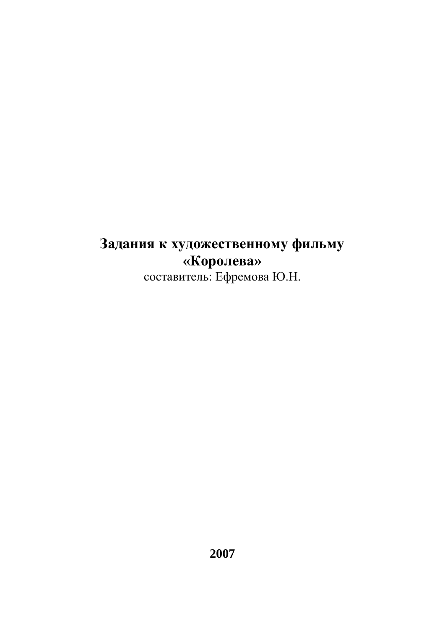# **Задания к художественному фильму «Королева»** составитель: Ефремова Ю.Н.

**2007**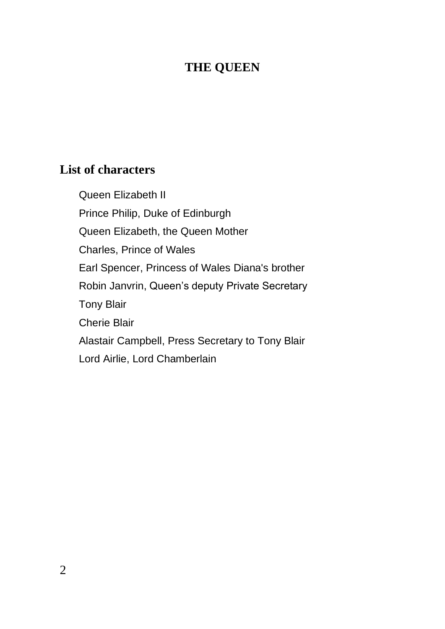## **THE QUEEN**

## **List of characters**

Queen Elizabeth II Prince Philip, Duke of Edinburgh Queen [Elizabeth, the Queen Mother](http://en.wikipedia.org/wiki/Elizabeth_Bowes-Lyon) Charles, Prince of Wales Earl Spencer, Princess of Wales Diana's brother Robin Janvrin, Queen's deputy Private Secretary Tony Blair Cherie Blair Alastair Campbell, Press Secretary to Tony Blair Lord Airlie, Lord Chamberlain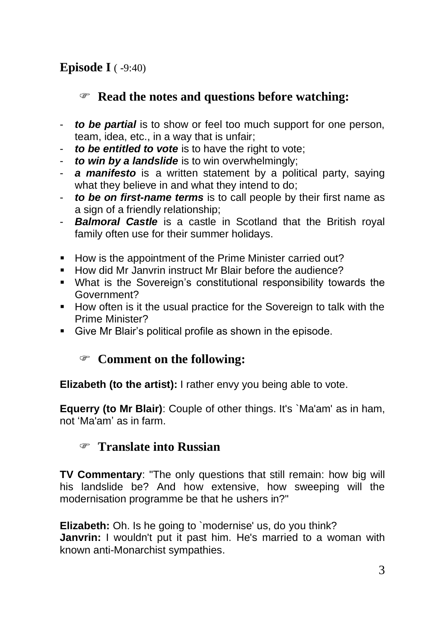## **Episode I** ( -9:40)

## **Read the notes and questions before watching:**

- *to be partial* is to show or feel too much support for one person, team, idea, etc., in a way that is unfair;
- *to be entitled to vote* is to have the right to vote;
- *to win by a landslide* is to win overwhelmingly;
- a manifesto is a written statement by a political party, saying what they believe in and what they intend to do:
- *to be on first-name terms* is to call people by their first name as a sign of a friendly relationship:
- *Balmoral Castle* is a castle in Scotland that the British royal family often use for their summer holidays.
- How is the appointment of the Prime Minister carried out?
- How did Mr Janvrin instruct Mr Blair before the audience?
- What is the Sovereign's constitutional responsibility towards the Government?
- How often is it the usual practice for the Sovereign to talk with the Prime Minister?
- Give Mr Blair's political profile as shown in the episode.

## **Comment on the following:**

**Elizabeth (to the artist):** I rather envy you being able to vote.

**Equerry (to Mr Blair)**: Couple of other things. It's `Ma'am' as in ham, not 'Ma'am' as in farm.

#### **Translate into Russian**

**TV Commentary**: "The only questions that still remain: how big will his landslide be? And how extensive, how sweeping will the modernisation programme be that he ushers in?"

**Elizabeth:** Oh. Is he going to `modernise' us, do you think? **Janvrin:** I wouldn't put it past him. He's married to a woman with known anti-Monarchist sympathies.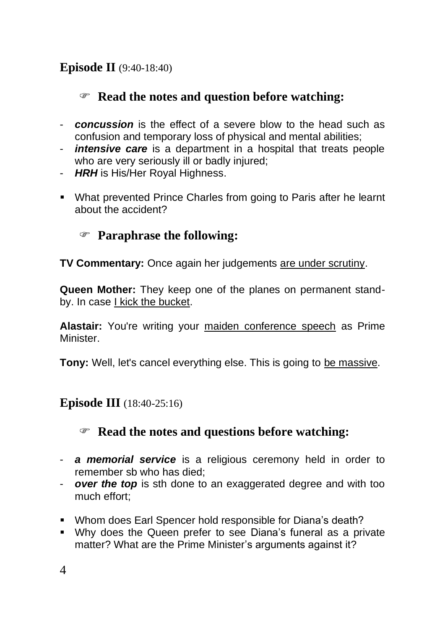## **Episode II** (9:40-18:40)

## **Read the notes and question before watching:**

- *concussion* is the effect of a severe blow to the head such as confusion and temporary loss of physical and mental abilities;
- *intensive care* is a department in a hospital that treats people who are very seriously ill or badly injured;
- *HRH* is His/Her Royal Highness.
- What prevented Prince Charles from going to Paris after he learnt about the accident?

## **Paraphrase the following:**

**TV Commentary:** Once again her judgements are under scrutiny.

**Queen Mother:** They keep one of the planes on permanent standby. In case I kick the bucket.

**Alastair:** You're writing your maiden conference speech as Prime Minister.

**Tony:** Well, let's cancel everything else. This is going to be massive.

## **Episode III** (18:40-25:16)

## **Read the notes and questions before watching:**

- *a memorial service* is a religious ceremony held in order to remember sb who has died;
- *over the top* is sth done to an exaggerated degree and with too much effort;
- Whom does Earl Spencer hold responsible for Diana's death?
- Why does the Queen prefer to see Diana's funeral as a private matter? What are the Prime Minister's arguments against it?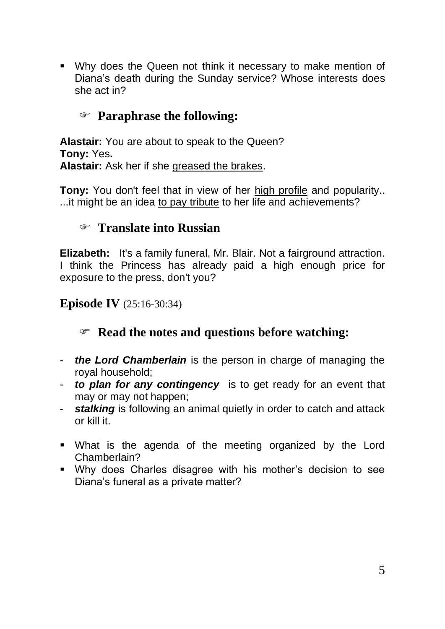▪ Why does the Queen not think it necessary to make mention of Diana's death during the Sunday service? Whose interests does she act in?

### **Paraphrase the following:**

**Alastair:** You are about to speak to the Queen? **Tony:** Yes**. Alastair:** Ask her if she greased the brakes.

**Tony:** You don't feel that in view of her high profile and popularity.. ...it might be an idea to pay tribute to her life and achievements?

#### **Translate into Russian**

**Elizabeth:** It's a family funeral, Mr. Blair. Not a fairground attraction. I think the Princess has already paid a high enough price for exposure to the press, don't you?

**Episode IV** (25:16-30:34)

#### **Read the notes and questions before watching:**

- *the Lord Chamberlain* is the person in charge of managing the royal household;
- *to plan for any contingency* is to get ready for an event that may or may not happen;
- *stalking* is following an animal quietly in order to catch and attack or kill it.
- What is the agenda of the meeting organized by the Lord Chamberlain?
- Why does Charles disagree with his mother's decision to see Diana's funeral as a private matter?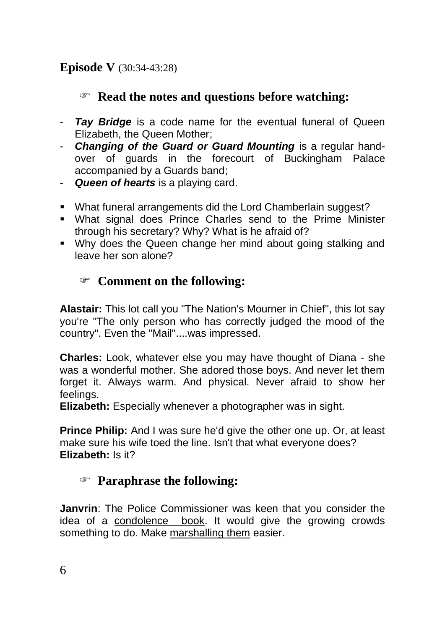## **Episode V** (30:34-43:28)

## **Read the notes and questions before watching:**

- *Tay Bridge* is a code name for the eventual funeral of Queen Elizabeth, the Queen Mother;
- *Changing of the Guard or Guard Mounting* is a regular handover of guards in the forecourt of Buckingham Palace accompanied by a Guards band;
- *Queen of hearts* is a playing card.
- What funeral arrangements did the Lord Chamberlain suggest?
- What signal does Prince Charles send to the Prime Minister through his secretary? Why? What is he afraid of?
- Why does the Queen change her mind about going stalking and leave her son alone?

## **Comment on the following:**

**Alastair:** This lot call you "The Nation's Mourner in Chief", this lot say you're "The only person who has correctly judged the mood of the country". Even the "Mail"....was impressed.

**Charles:** Look, whatever else you may have thought of Diana - she was a wonderful mother. She adored those boys. And never let them forget it. Always warm. And physical. Never afraid to show her feelings.

**Elizabeth:** Especially whenever a photographer was in sight.

**Prince Philip:** And I was sure he'd give the other one up. Or, at least make sure his wife toed the line. Isn't that what everyone does? **Elizabeth:** Is it?

## **Paraphrase the following:**

**Janvrin**: The Police Commissioner was keen that you consider the idea of a condolence book. It would give the growing crowds something to do. Make marshalling them easier.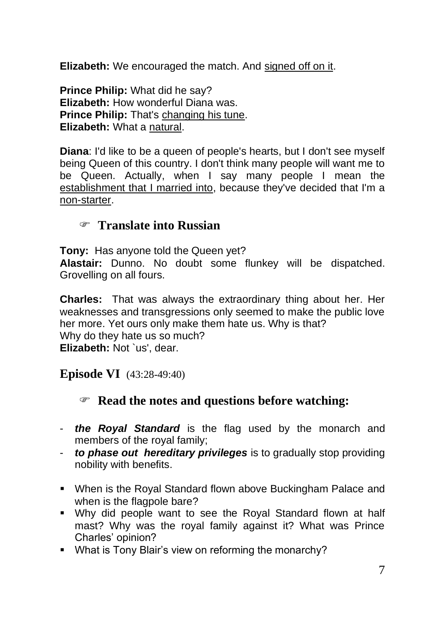**Elizabeth:** We encouraged the match. And signed off on it.

**Prince Philip:** What did he say? **Elizabeth:** How wonderful Diana was. **Prince Philip:** That's changing his tune. **Elizabeth:** What a natural.

**Diana**: I'd like to be a queen of people's hearts, but I don't see myself being Queen of this country. I don't think many people will want me to be Queen. Actually, when I say many people I mean the establishment that I married into, because they've decided that I'm a non-starter.

#### **Translate into Russian**

**Tony:** Has anyone told the Queen yet?

**Alastair:** Dunno. No doubt some flunkey will be dispatched. Grovelling on all fours.

**Charles:** That was always the extraordinary thing about her. Her weaknesses and transgressions only seemed to make the public love her more. Yet ours only make them hate us. Why is that? Why do they hate us so much? **Elizabeth:** Not `us', dear.

**Episode VI** (43:28-49:40)

#### **Read the notes and questions before watching:**

- *the Royal Standard* is the [flag](http://en.wikipedia.org/wiki/Flag) used by the [monarch](http://en.wikipedia.org/wiki/Monarch) and members of the [royal family;](http://en.wikipedia.org/wiki/Royal_family)
- *to phase out hereditary privileges* is to gradually stop providing nobility with benefits.
- When is the Royal Standard flown above Buckingham Palace and when is the flagpole bare?
- Why did people want to see the Royal Standard flown at half mast? Why was the royal family against it? What was Prince Charles' opinion?
- What is Tony Blair's view on reforming the monarchy?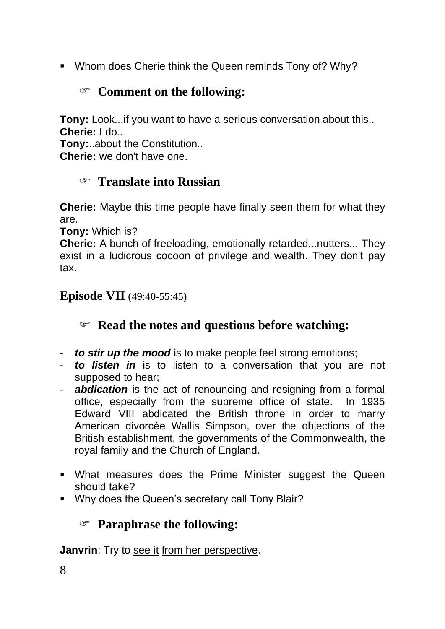■ Whom does Cherie think the Queen reminds Tony of? Why?

## **Comment on the following:**

**Tony:** Look...if you want to have a serious conversation about this.. **Cherie:** I do..

**Tony:**..about the Constitution..

**Cherie:** we don't have one.

## **Translate into Russian**

**Cherie:** Maybe this time people have finally seen them for what they are.

**Tony:** Which is?

**Cherie:** A bunch of freeloading, emotionally retarded...nutters... They exist in a ludicrous cocoon of privilege and wealth. They don't pay tax.

#### **Episode VII** (49:40-55:45)

## **Read the notes and questions before watching:**

- *to stir up the mood* is to make people feel strong emotions;
- *to listen in* is to listen to a conversation that you are not supposed to hear;
- *abdication* is the act of renouncing and resigning from a formal office, especially from the supreme office of [state.](http://en.wikipedia.org/wiki/State) In 1935 Edward VIII abdicated the British throne in order to marry American divorcée [Wallis Simpson,](http://en.wikipedia.org/wiki/Wallis_Simpson) over the objections of the British establishment, the governments of the [Commonwealth,](http://en.wikipedia.org/wiki/Commonwealth_of_Nations) the royal family and the [Church of England.](http://en.wikipedia.org/wiki/Church_of_England)
- What measures does the Prime Minister suggest the Queen should take?
- Why does the Queen's secretary call Tony Blair?

## **Paraphrase the following:**

**Janvrin**: Try to see it from her perspective.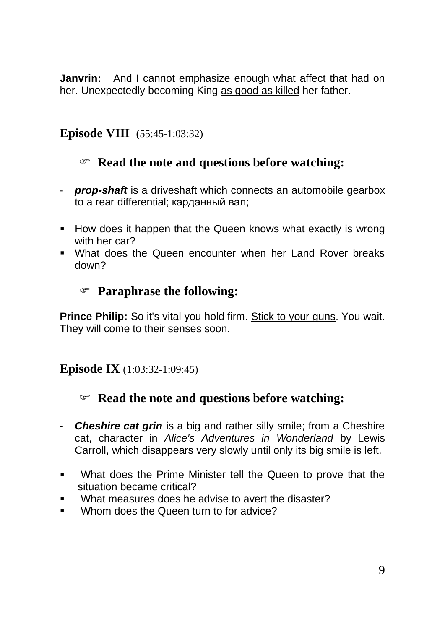**Janvrin:** And I cannot emphasize enough what affect that had on her. Unexpectedly becoming King as good as killed her father.

#### **Episode VIII** (55:45-1:03:32)

## **Read the note and questions before watching:**

- *prop-shaft* is a [driveshaft](http://en.wikipedia.org/wiki/Driveshaft) which connects an [automobile](http://en.wikipedia.org/wiki/Automobile) gearbox to a rear [differential;](http://en.wikipedia.org/wiki/Differential_%28mechanics%29) карданный вал;
- How does it happen that the Queen knows what exactly is wrong with her car?
- What does the Queen encounter when her Land Rover breaks down?

#### **Paraphrase the following:**

**Prince Philip:** So it's vital you hold firm. Stick to your guns. You wait. They will come to their senses soon.

#### **Episode IX** (1:03:32-1:09:45)

## **Read the note and questions before watching:**

- *Cheshire cat grin* is a big and rather silly smile; from a Cheshire cat, character in *Alice's Adventures in Wonderland* by Lewis Carroll, which disappears very slowly until only its big smile is left.
- What does the Prime Minister tell the Queen to prove that the situation became critical?
- What measures does he advise to avert the disaster?
- Whom does the Queen turn to for advice?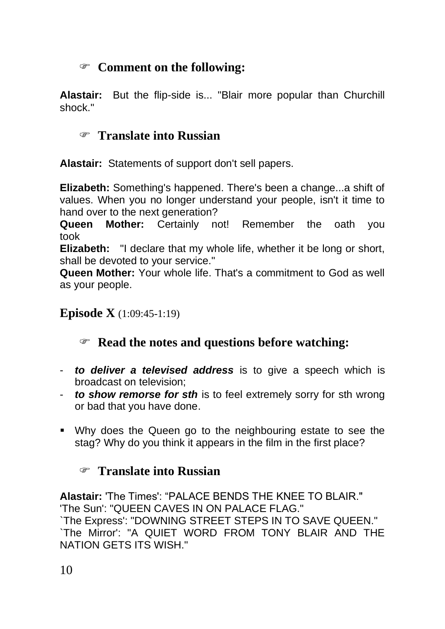## **Comment on the following:**

**Alastair:** But the flip-side is... "Blair more popular than Churchill shock."

## **Translate into Russian**

**Alastair:** Statements of support don't sell papers.

**Elizabeth:** Something's happened. There's been a change...a shift of values. When you no longer understand your people, isn't it time to hand over to the next generation?

**Queen Mother:** Certainly not! Remember the oath you took

**Elizabeth:** "I declare that my whole life, whether it be long or short, shall be devoted to your service."

**Queen Mother:** Your whole life. That's a commitment to God as well as your people.

#### **Episode X** (1:09:45-1:19)

## **Read the notes and questions before watching:**

- *to deliver a televised address* is to give a speech which is broadcast on television;
- *to show remorse for sth* is to feel extremely sorry for sth wrong or bad that you have done.
- Why does the Queen go to the neighbouring estate to see the stag? Why do you think it appears in the film in the first place?

## **Translate into Russian**

**Alastair:** 'The Times': "PALACE BENDS THE KNEE TO BLAIR." 'The Sun': "QUEEN CAVES IN ON PALACE FLAG." `The Express': "DOWNING STREET STEPS IN TO SAVE QUEEN." `The Mirror': "A QUIET WORD FROM TONY BLAIR AND THE NATION GETS ITS WISH."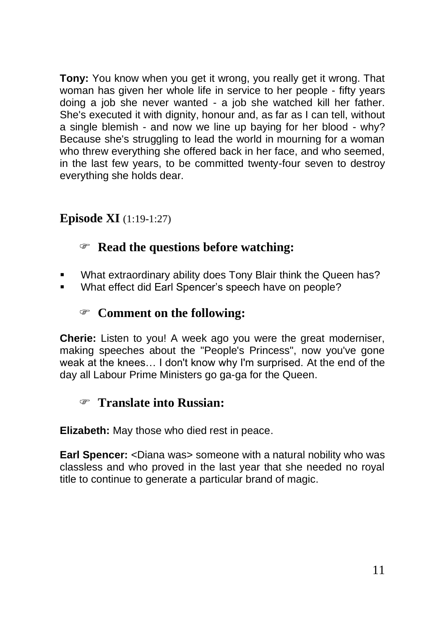**Tony:** You know when you get it wrong, you really get it wrong. That woman has given her whole life in service to her people - fifty years doing a job she never wanted - a job she watched kill her father. She's executed it with dignity, honour and, as far as I can tell, without a single blemish - and now we line up baying for her blood - why? Because she's struggling to lead the world in mourning for a woman who threw everything she offered back in her face, and who seemed, in the last few years, to be committed twenty-four seven to destroy everything she holds dear.

## **Episode XI** (1:19-1:27)

## **Read the questions before watching:**

- What extraordinary ability does Tony Blair think the Queen has?
- What effect did Earl Spencer's speech have on people?

#### **Comment on the following:**

**Cherie:** Listen to you! A week ago you were the great moderniser, making speeches about the "People's Princess", now you've gone weak at the knees… I don't know why I'm surprised. At the end of the day all Labour Prime Ministers go ga-ga for the Queen.

## **Translate into Russian:**

**Elizabeth:** May those who died rest in peace.

**Earl Spencer:** <Diana was> someone with a natural nobility who was classless and who proved in the last year that she needed no royal title to continue to generate a particular brand of magic.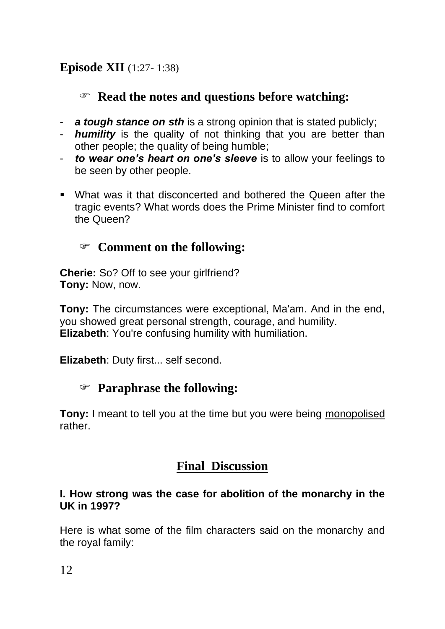## **Read the notes and questions before watching:**

- *a tough stance on sth* is a strong opinion that is stated publicly;
- *humility* is the quality of not thinking that you are better than other people; the quality of being humble;
- *to wear one's heart on one's sleeve* is to allow your feelings to be seen by other people.
- What was it that disconcerted and bothered the Queen after the tragic events? What words does the Prime Minister find to comfort the Queen?

## **Comment on the following:**

**Cherie:** So? Off to see your girlfriend? **Tony:** Now, now.

**Tony:** The circumstances were exceptional, Ma'am. And in the end, you showed great personal strength, courage, and humility. **Elizabeth**: You're confusing humility with humiliation.

**Elizabeth**: Duty first... self second.

## **Paraphrase the following:**

**Tony:** I meant to tell you at the time but you were being monopolised rather.

## **Final Discussion**

#### **I. How strong was the case for abolition of the monarchy in the UK in 1997?**

Here is what some of the film characters said on the monarchy and the royal family: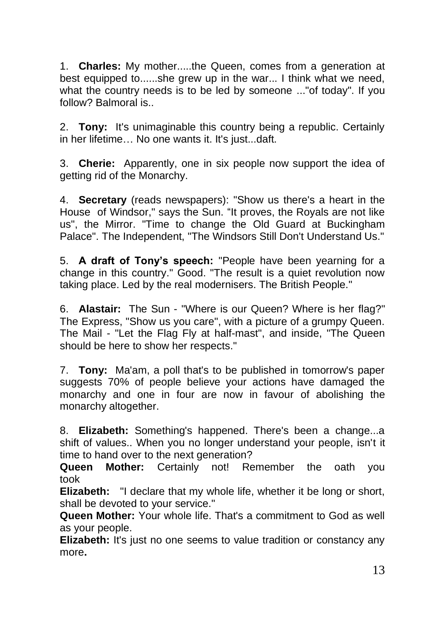1. **Charles:** My mother.....the Queen, comes from a generation at best equipped to......she grew up in the war... I think what we need, what the country needs is to be led by someone ..."of today". If you follow? Balmoral is..

2. **Tony:** It's unimaginable this country being a republic. Certainly in her lifetime… No one wants it. It's just...daft.

3. **Cherie:** Apparently, one in six people now support the idea of getting rid of the Monarchy.

4. **Secretary** (reads newspapers): "Show us there's a heart in the House of Windsor," says the Sun. "It proves, the Royals are not like us", the Mirror. "Time to change the Old Guard at Buckingham Palace". The Independent, "The Windsors Still Don't Understand Us."

5. **A draft of Tony's speech:** "People have been yearning for a change in this country." Good. "The result is a quiet revolution now taking place. Led by the real modernisers. The British People."

6. **Alastair:** The Sun - "Where is our Queen? Where is her flag?" The Express, "Show us you care", with a picture of a grumpy Queen. The Mail - "Let the Flag Fly at half-mast", and inside, "The Queen should be here to show her respects."

7. **Tony:** Ma'am, a poll that's to be published in tomorrow's paper suggests 70% of people believe your actions have damaged the monarchy and one in four are now in favour of abolishing the monarchy altogether.

8. **Elizabeth:** Something's happened. There's been a change...a shift of values.. When you no longer understand your people, isn't it time to hand over to the next generation?

**Queen Mother:** Certainly not! Remember the oath you took

**Elizabeth:** "I declare that my whole life, whether it be long or short, shall be devoted to your service."

**Queen Mother:** Your whole life. That's a commitment to God as well as your people.

**Elizabeth:** It's just no one seems to value tradition or constancy any more**.**